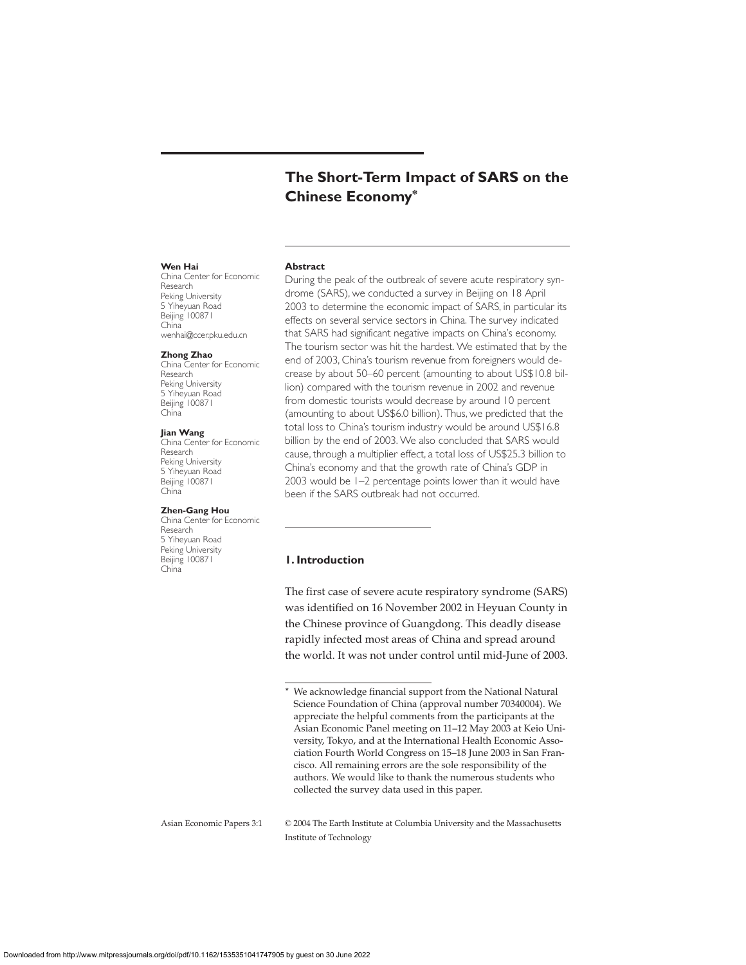# **The Short-Term Impact of SARS on the Chinese Economy\***

#### **Wen Hai**

China Center for Economic Research Peking University 5 Yiheyuan Road Beijing 100871 China wenhai@ccer.pku.edu.cn

## **Zhong Zhao**

China Center for Economic Research Peking University 5 Yiheyuan Road Beijing 100871 China

#### **Jian Wang**

China Center for Economic Research Peking University 5 Yiheyuan Road Beijing 100871 China

#### **Zhen-Gang Hou**

China Center for Economic Research 5 Yiheyuan Road Peking University Beijing 100871 China

**Abstract**

During the peak of the outbreak of severe acute respiratory syndrome (SARS), we conducted a survey in Beijing on 18 April 2003 to determine the economic impact of SARS, in particular its effects on several service sectors in China. The survey indicated that SARS had significant negative impacts on China's economy. The tourism sector was hit the hardest. We estimated that by the end of 2003, China's tourism revenue from foreigners would decrease by about 50–60 percent (amounting to about US\$10.8 billion) compared with the tourism revenue in 2002 and revenue from domestic tourists would decrease by around 10 percent (amounting to about US\$6.0 billion). Thus, we predicted that the total loss to China's tourism industry would be around US\$16.8 billion by the end of 2003. We also concluded that SARS would cause, through a multiplier effect, a total loss of US\$25.3 billion to China's economy and that the growth rate of China's GDP in 2003 would be 1–2 percentage points lower than it would have been if the SARS outbreak had not occurred.

# **1. Introduction**

The first case of severe acute respiratory syndrome (SARS) was identified on 16 November 2002 in Heyuan County in the Chinese province of Guangdong. This deadly disease rapidly infected most areas of China and spread around the world. It was not under control until mid-June of 2003.

Asian Economic Papers 3:1 © 2004 The Earth Institute at Columbia University and the Massachusetts Institute of Technology

<sup>\*</sup> We acknowledge financial support from the National Natural Science Foundation of China (approval number 70340004). We appreciate the helpful comments from the participants at the Asian Economic Panel meeting on 11–12 May 2003 at Keio University, Tokyo, and at the International Health Economic Association Fourth World Congress on 15–18 June 2003 in San Francisco. All remaining errors are the sole responsibility of the authors. We would like to thank the numerous students who collected the survey data used in this paper.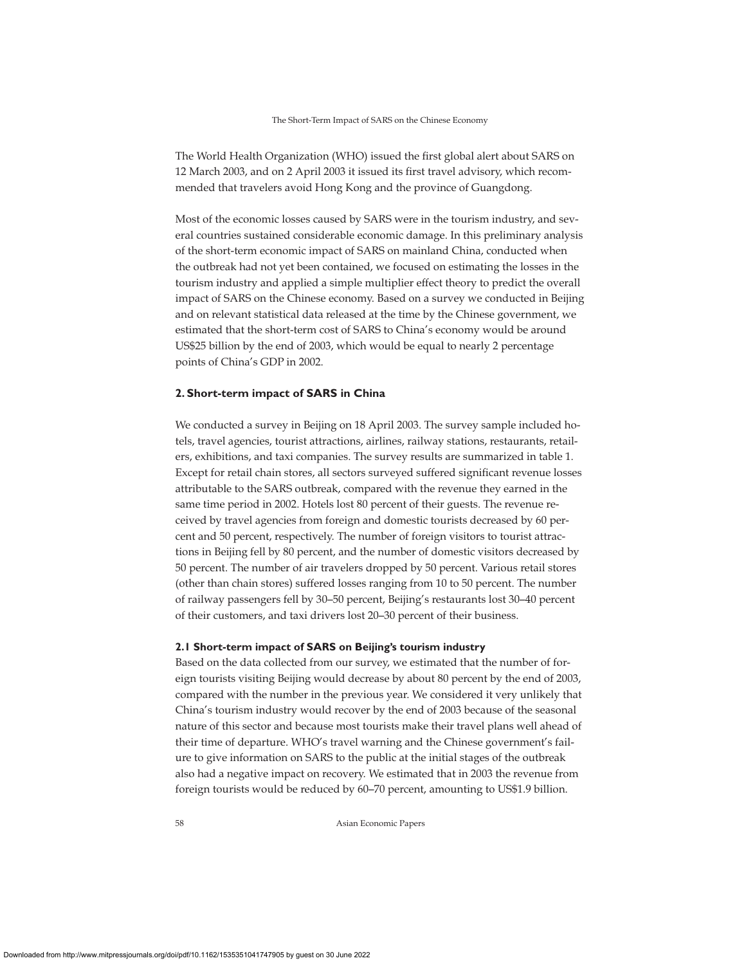#### The Short-Term Impact of SARS on the Chinese Economy

The World Health Organization (WHO) issued the first global alert about SARS on 12 March 2003, and on 2 April 2003 it issued its first travel advisory, which recommended that travelers avoid Hong Kong and the province of Guangdong.

Most of the economic losses caused by SARS were in the tourism industry, and several countries sustained considerable economic damage. In this preliminary analysis of the short-term economic impact of SARS on mainland China, conducted when the outbreak had not yet been contained, we focused on estimating the losses in the tourism industry and applied a simple multiplier effect theory to predict the overall impact of SARS on the Chinese economy. Based on a survey we conducted in Beijing and on relevant statistical data released at the time by the Chinese government, we estimated that the short-term cost of SARS to China's economy would be around US\$25 billion by the end of 2003, which would be equal to nearly 2 percentage points of China's GDP in 2002.

## **2. Short-term impact of SARS in China**

We conducted a survey in Beijing on 18 April 2003. The survey sample included hotels, travel agencies, tourist attractions, airlines, railway stations, restaurants, retailers, exhibitions, and taxi companies. The survey results are summarized in table 1. Except for retail chain stores, all sectors surveyed suffered significant revenue losses attributable to the SARS outbreak, compared with the revenue they earned in the same time period in 2002. Hotels lost 80 percent of their guests. The revenue received by travel agencies from foreign and domestic tourists decreased by 60 percent and 50 percent, respectively. The number of foreign visitors to tourist attractions in Beijing fell by 80 percent, and the number of domestic visitors decreased by 50 percent. The number of air travelers dropped by 50 percent. Various retail stores (other than chain stores) suffered losses ranging from 10 to 50 percent. The number of railway passengers fell by 30–50 percent, Beijing's restaurants lost 30–40 percent of their customers, and taxi drivers lost 20–30 percent of their business.

### **2.1 Short-term impact of SARS on Beijing's tourism industry**

Based on the data collected from our survey, we estimated that the number of foreign tourists visiting Beijing would decrease by about 80 percent by the end of 2003, compared with the number in the previous year. We considered it very unlikely that China's tourism industry would recover by the end of 2003 because of the seasonal nature of this sector and because most tourists make their travel plans well ahead of their time of departure. WHO's travel warning and the Chinese government's failure to give information on SARS to the public at the initial stages of the outbreak also had a negative impact on recovery. We estimated that in 2003 the revenue from foreign tourists would be reduced by 60–70 percent, amounting to US\$1.9 billion.

58 Asian Economic Papers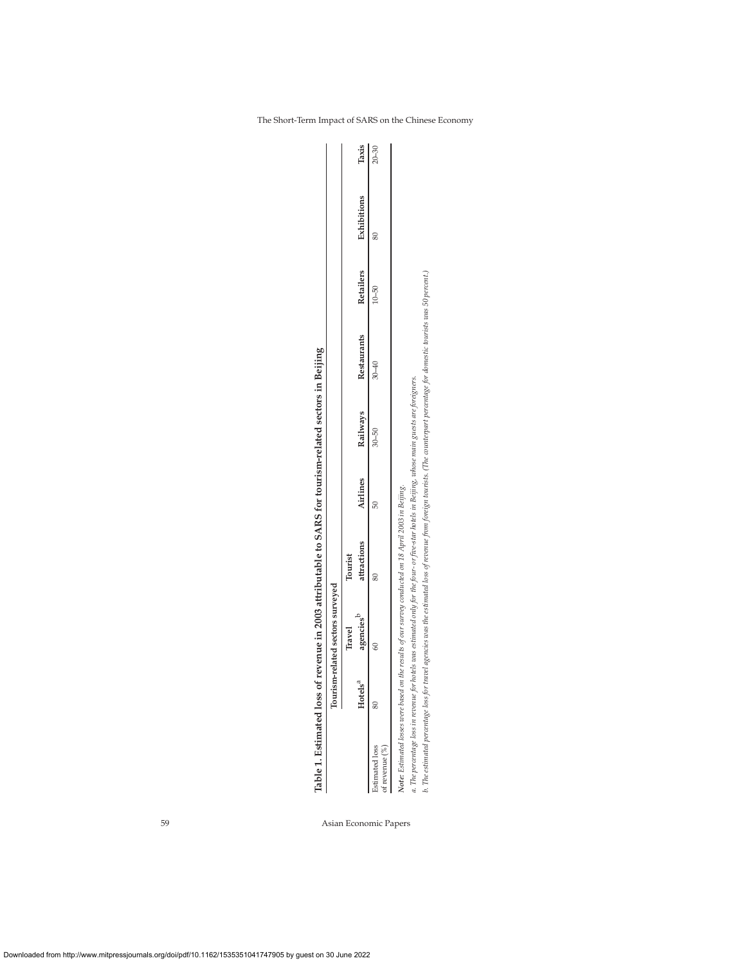|                                     |                        |                                  | Table 1. Estimated loss of revenue in 2003 attributable to SARS for tourism-related sectors in Beijing                                          |          |           |                                                                                                                                                                                  |           |             |           |
|-------------------------------------|------------------------|----------------------------------|-------------------------------------------------------------------------------------------------------------------------------------------------|----------|-----------|----------------------------------------------------------------------------------------------------------------------------------------------------------------------------------|-----------|-------------|-----------|
|                                     |                        | Tourism-related sectors surveyed |                                                                                                                                                 |          |           |                                                                                                                                                                                  |           |             |           |
|                                     |                        | Travel                           | Tourist                                                                                                                                         |          |           |                                                                                                                                                                                  |           |             |           |
|                                     | $H$ otels <sup>a</sup> | agencies <sup>b</sup>            | attractions                                                                                                                                     | Airlines | Railways  | Restaurants                                                                                                                                                                      | Retailers | Exhibitions | Taxis     |
| Estimated loss<br>of revenue $(\%)$ |                        |                                  |                                                                                                                                                 |          | $30 - 50$ | $30 - 40$                                                                                                                                                                        | $10 - 50$ |             | $20 - 30$ |
|                                     |                        |                                  | Note: Estimated losses were based on the results of our survey conducted on 18 April 2003 in Beijing.                                           |          |           |                                                                                                                                                                                  |           |             |           |
|                                     |                        |                                  | a. The percentage loss in revenue for hotels was estimated only for the four- or five-star hotels in Beijing, whose main guests are foreigners. |          |           |                                                                                                                                                                                  |           |             |           |
|                                     |                        |                                  |                                                                                                                                                 |          |           | b. The estimated percentage loss for travel agencies was the estimated loss of revenue from foreign tourists. (The counterpart percentage for domestic tourists was 50 percent.) |           |             |           |

Table 1. Estimated loss of revenue in 2003 attributable to SARS for tourism-related sectors in Beijing

59 Asian Economic Papers

The Short-Term Impact of SARS on the Chinese Economy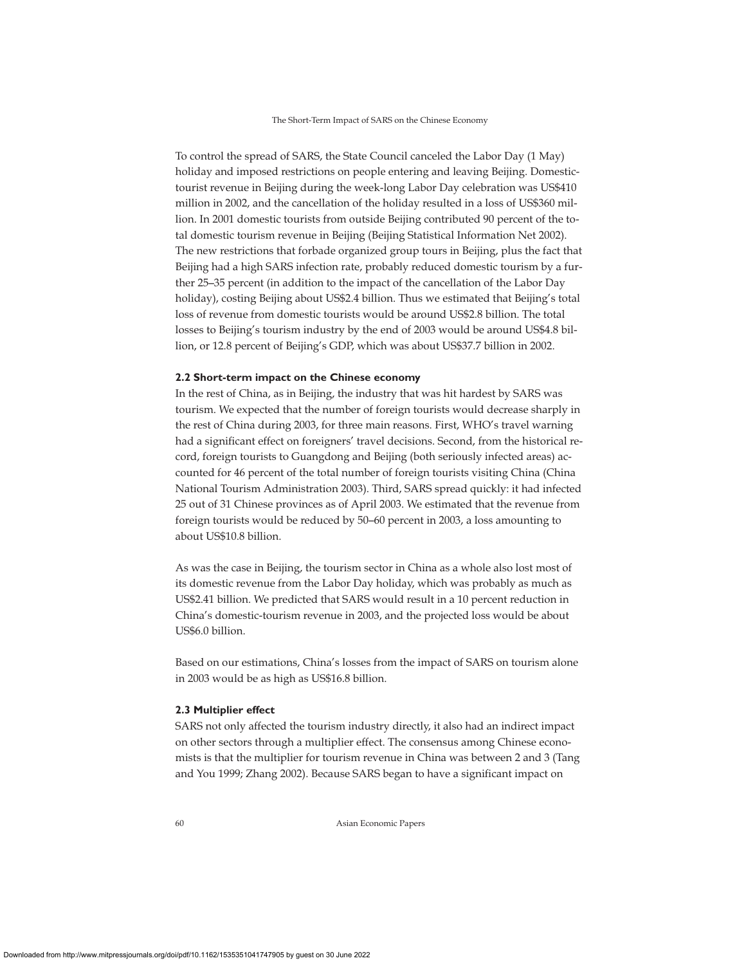To control the spread of SARS, the State Council canceled the Labor Day (1 May) holiday and imposed restrictions on people entering and leaving Beijing. Domestictourist revenue in Beijing during the week-long Labor Day celebration was US\$410 million in 2002, and the cancellation of the holiday resulted in a loss of US\$360 million. In 2001 domestic tourists from outside Beijing contributed 90 percent of the total domestic tourism revenue in Beijing (Beijing Statistical Information Net 2002). The new restrictions that forbade organized group tours in Beijing, plus the fact that Beijing had a high SARS infection rate, probably reduced domestic tourism by a further 25–35 percent (in addition to the impact of the cancellation of the Labor Day holiday), costing Beijing about US\$2.4 billion. Thus we estimated that Beijing's total loss of revenue from domestic tourists would be around US\$2.8 billion. The total losses to Beijing's tourism industry by the end of 2003 would be around US\$4.8 billion, or 12.8 percent of Beijing's GDP, which was about US\$37.7 billion in 2002.

#### **2.2 Short-term impact on the Chinese economy**

In the rest of China, as in Beijing, the industry that was hit hardest by SARS was tourism. We expected that the number of foreign tourists would decrease sharply in the rest of China during 2003, for three main reasons. First, WHO's travel warning had a significant effect on foreigners' travel decisions. Second, from the historical record, foreign tourists to Guangdong and Beijing (both seriously infected areas) accounted for 46 percent of the total number of foreign tourists visiting China (China National Tourism Administration 2003). Third, SARS spread quickly: it had infected 25 out of 31 Chinese provinces as of April 2003. We estimated that the revenue from foreign tourists would be reduced by 50–60 percent in 2003, a loss amounting to about US\$10.8 billion.

As was the case in Beijing, the tourism sector in China as a whole also lost most of its domestic revenue from the Labor Day holiday, which was probably as much as US\$2.41 billion. We predicted that SARS would result in a 10 percent reduction in China's domestic-tourism revenue in 2003, and the projected loss would be about US\$6.0 billion.

Based on our estimations, China's losses from the impact of SARS on tourism alone in 2003 would be as high as US\$16.8 billion.

## **2.3 Multiplier effect**

SARS not only affected the tourism industry directly, it also had an indirect impact on other sectors through a multiplier effect. The consensus among Chinese economists is that the multiplier for tourism revenue in China was between 2 and 3 (Tang and You 1999; Zhang 2002). Because SARS began to have a significant impact on

60 Asian Economic Papers